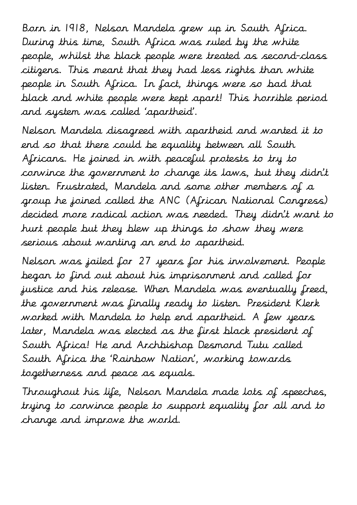Born in 1918, Nelson Mandela grew up in South Africa. During this time, South Africa was ruled by the white people, whilst the black people were treated as second-class citizens. This meant that they had less rights than white people in South Africa. In fact, things were so bad that black and white people were kept apart! This horrible period and system was called 'apartheid'.

Nelson Mandela disagreed with apartheid and wanted it to end so that there could be equality between all South Africans. He joined in with peaceful protests to try to convince the government to change its laws, but they didn't listen. Frustrated, Mandela and some other members of a group he joined called the ANC (African National Congress) decided more radical action was needed. They didn't want to hurt people but they blew up things to show they were serious about wanting an end to apartheid.

Nelson was jailed for 27 years for his involvement. People began to find out about his imprisonment and called for justice and his release. When Mandela was eventually freed, the government was finally ready to listen. President Klerk worked with Mandela to help end apartheid. A few years later, Mandela was elected as the first black president of South Africa! He and Archbishop Desmond Tutu called South Africa the 'Rainbow Nation', working towards togetherness and peace as equals.

Throughout his life, Nelson Mandela made lots of speeches, trying to convince people to support equality for all and to change and improve the world.